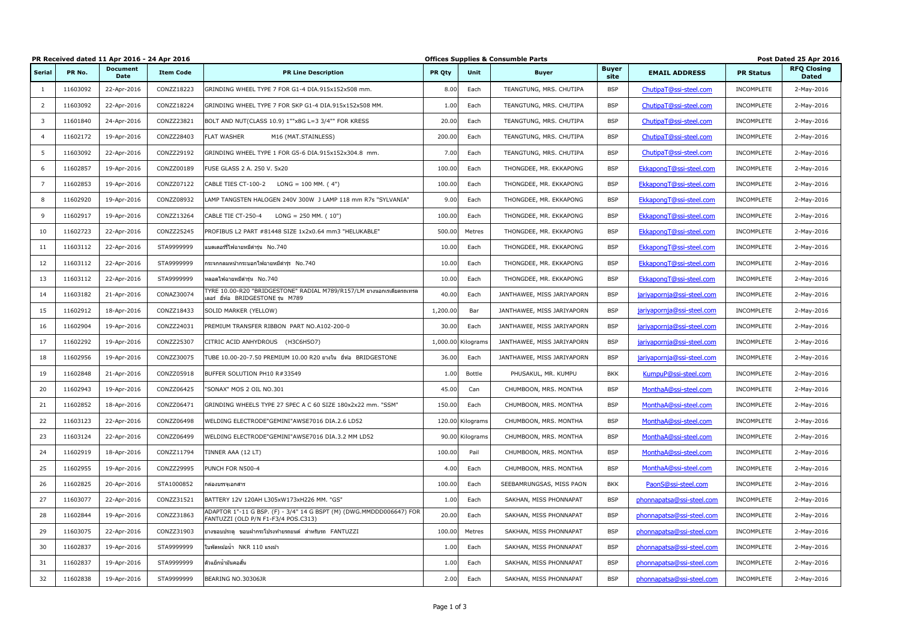|                         |          | PR Received dated 11 Apr 2016 - 24 Apr 2016 |                  |                                                                                                            | <b>Offices Supplies &amp; Consumble Parts</b> |                    |                            |                      | Post Dated 25 Apr 2016     |                   |                                    |
|-------------------------|----------|---------------------------------------------|------------------|------------------------------------------------------------------------------------------------------------|-----------------------------------------------|--------------------|----------------------------|----------------------|----------------------------|-------------------|------------------------------------|
| <b>Serial</b>           | PR No.   | <b>Document</b><br><b>Date</b>              | <b>Item Code</b> | <b>PR Line Description</b>                                                                                 | <b>PR Qty</b>                                 | Unit               | <b>Buyer</b>               | <b>Buyer</b><br>site | <b>EMAIL ADDRESS</b>       | <b>PR Status</b>  | <b>RFQ Closing</b><br><b>Dated</b> |
| 1                       | 11603092 | 22-Apr-2016                                 | CONZZ18223       | GRINDING WHEEL TYPE 7 FOR G1-4 DIA.915x152x508 mm.                                                         | 8.00                                          | Each               | TEANGTUNG, MRS. CHUTIPA    | <b>BSP</b>           | ChutipaT@ssi-steel.com     | INCOMPLETE        | 2-May-2016                         |
| $\overline{2}$          | 11603092 | 22-Apr-2016                                 | CONZZ18224       | GRINDING WHEEL TYPE 7 FOR SKP G1-4 DIA.915x152x508 MM.                                                     | 1.00                                          | Each               | TEANGTUNG, MRS. CHUTIPA    | <b>BSP</b>           | ChutipaT@ssi-steel.com     | <b>INCOMPLETE</b> | 2-May-2016                         |
| $\overline{\mathbf{3}}$ | 11601840 | 24-Apr-2016                                 | CONZZ23821       | BOLT AND NUT(CLASS 10.9) 1""x8G L=3 3/4"" FOR KRESS                                                        | 20.00                                         | Each               | TEANGTUNG, MRS. CHUTIPA    | <b>BSP</b>           | ChutipaT@ssi-steel.com     | INCOMPLETE        | 2-May-2016                         |
| -4                      | 11602172 | 19-Apr-2016                                 | CONZZ28403       | <b>FLAT WASHER</b><br>M16 (MAT.STAINLESS)                                                                  | 200.00                                        | Each               | TEANGTUNG, MRS. CHUTIPA    | <b>BSP</b>           | ChutipaT@ssi-steel.com     | INCOMPLETE        | 2-May-2016                         |
| 5 <sup>5</sup>          | 11603092 | 22-Apr-2016                                 | CONZZ29192       | GRINDING WHEEL TYPE 1 FOR G5-6 DIA.915x152x304.8 mm.                                                       | 7.00                                          | Each               | TEANGTUNG, MRS. CHUTIPA    | <b>BSP</b>           | ChutipaT@ssi-steel.com     | INCOMPLETE        | 2-May-2016                         |
| - 6                     | 11602857 | 19-Apr-2016                                 | CONZZ00189       | FUSE GLASS 2 A. 250 V. 5x20                                                                                | 100.00                                        | Each               | THONGDEE, MR. EKKAPONG     | <b>BSP</b>           | EkkapongT@ssi-steel.com    | INCOMPLETE        | 2-May-2016                         |
| 7                       | 11602853 | 19-Apr-2016                                 | CONZZ07122       | CABLE TIES CT-100-2<br>$LONG = 100$ MM. $(4")$                                                             | 100.00                                        | Each               | THONGDEE, MR. EKKAPONG     | <b>BSP</b>           | EkkapongT@ssi-steel.com    | INCOMPLETE        | 2-May-2016                         |
| 8                       | 11602920 | 19-Apr-2016                                 | CONZZ08932       | LAMP TANGSTEN HALOGEN 240V 300W J LAMP 118 mm R7s "SYLVANIA"                                               | 9.00                                          | Each               | THONGDEE, MR. EKKAPONG     | <b>BSP</b>           | EkkapongT@ssi-steel.com    | INCOMPLETE        | 2-May-2016                         |
| 9                       | 11602917 | 19-Apr-2016                                 | CONZZ13264       | CABLE TIE CT-250-4<br>$LONG = 250$ MM. $(10")$                                                             | 100.00                                        | Each               | THONGDEE, MR. EKKAPONG     | <b>BSP</b>           | EkkapongT@ssi-steel.com    | INCOMPLETE        | 2-May-2016                         |
| 10                      | 11602723 | 22-Apr-2016                                 | CONZZ25245       | PROFIBUS L2 PART #81448 SIZE 1x2x0.64 mm3 "HELUKABLE"                                                      | 500.00                                        | Metres             | THONGDEE, MR. EKKAPONG     | <b>BSP</b>           | EkkapongT@ssi-steel.com    | <b>INCOMPLETE</b> | 2-May-2016                         |
| 11                      | 11603112 | 22-Apr-2016                                 | STA9999999       | แบตเตอร์รี่ไฟฉายหมีดำรุ่น No.740                                                                           | 10.00                                         | Each               | THONGDEE, MR. EKKAPONG     | <b>BSP</b>           | EkkapongT@ssi-steel.com    | INCOMPLETE        | 2-May-2016                         |
| 12                      | 11603112 | 22-Apr-2016                                 | STA9999999       | กระจกกลมหน้ากระบอกไฟฉายหมีดำรุ่ร No.740                                                                    | 10.00                                         | Each               | THONGDEE, MR. EKKAPONG     | <b>BSP</b>           | EkkapongT@ssi-steel.com    | INCOMPLETE        | 2-May-2016                         |
| 13                      | 11603112 | 22-Apr-2016                                 | STA9999999       | หลอดไฟฉายหมีดำรุ่น No.740                                                                                  | 10.00                                         | Each               | THONGDEE, MR. EKKAPONG     | <b>BSP</b>           | EkkapongT@ssi-steel.com    | INCOMPLETE        | 2-May-2016                         |
| 14                      | 11603182 | 21-Apr-2016                                 | CONAZ30074       | TYRE 10.00-R20 "BRIDGESTONE" RADIAL M789/R157/LM ยางนอกเรเดียลรถเทรล<br>เลอร์ ยี่ห้อ BRIDGESTONE รุ่น M789 | 40.00                                         | Each               | JANTHAWEE, MISS JARIYAPORN | <b>BSP</b>           | jariyapornja@ssi-steel.com | INCOMPLETE        | 2-May-2016                         |
| 15                      | 11602912 | 18-Apr-2016                                 | CONZZ18433       | SOLID MARKER (YELLOW)                                                                                      | 1,200.00                                      | Bar                | JANTHAWEE, MISS JARIYAPORN | <b>BSP</b>           | jariyapornja@ssi-steel.com | INCOMPLETE        | 2-May-2016                         |
| 16                      | 11602904 | 19-Apr-2016                                 | CONZZ24031       | PREMIUM TRANSFER RIBBON PART NO.A102-200-0                                                                 | 30.00                                         | Each               | JANTHAWEE, MISS JARIYAPORN | <b>BSP</b>           | jariyapornja@ssi-steel.com | INCOMPLETE        | 2-May-2016                         |
| 17                      | 11602292 | 19-Apr-2016                                 | CONZZ25307       | CITRIC ACID ANHYDROUS (H3C6H5O7)                                                                           |                                               | 1,000.00 Kilograms | JANTHAWEE, MISS JARIYAPORN | <b>BSP</b>           | jariyapornja@ssi-steel.com | INCOMPLETE        | 2-May-2016                         |
| 18                      | 11602956 | 19-Apr-2016                                 | CONZZ30075       | TUBE 10.00-20-7.50 PREMIUM 10.00 R20 ยางใน ยี่ห้อ BRIDGESTONE                                              | 36.00                                         | Each               | JANTHAWEE, MISS JARIYAPORN | <b>BSP</b>           | jariyapornja@ssi-steel.com | INCOMPLETE        | 2-May-2016                         |
| 19                      | 11602848 | 21-Apr-2016                                 | CONZZ05918       | BUFFER SOLUTION PH10 R#33549                                                                               | 1.00                                          | Bottle             | PHUSAKUL, MR. KUMPU        | <b>BKK</b>           | KumpuP@ssi-steel.com       | INCOMPLETE        | 2-May-2016                         |
| 20                      | 11602943 | 19-Apr-2016                                 | CONZZ06425       | "SONAX" MOS 2 OIL NO.301                                                                                   | 45.00                                         | Can                | CHUMBOON, MRS. MONTHA      | <b>BSP</b>           | MonthaA@ssi-steel.com      | INCOMPLETE        | 2-May-2016                         |
| 21                      | 11602852 | 18-Apr-2016                                 | CONZZ06471       | GRINDING WHEELS TYPE 27 SPEC A C 60 SIZE 180x2x22 mm. "SSM"                                                | 150.00                                        | Each               | CHUMBOON, MRS. MONTHA      | <b>BSP</b>           | MonthaA@ssi-steel.com      | INCOMPLETE        | 2-May-2016                         |
| 22                      | 11603123 | 22-Apr-2016                                 | CONZZ06498       | WELDING ELECTRODE"GEMINI"AWSE7016 DIA.2.6 LD52                                                             |                                               | 120.00 Kilograms   | CHUMBOON, MRS. MONTHA      | <b>BSP</b>           | MonthaA@ssi-steel.com      | INCOMPLETE        | 2-May-2016                         |
| 23                      | 11603124 | 22-Apr-2016                                 | CONZZ06499       | WELDING ELECTRODE"GEMINI"AWSE7016 DIA.3.2 MM LD52                                                          |                                               | 90.00 Kilograms    | CHUMBOON, MRS. MONTHA      | <b>BSP</b>           | MonthaA@ssi-steel.com      | INCOMPLETE        | 2-May-2016                         |
| 24                      | 11602919 | 18-Apr-2016                                 | CONZZ11794       | TINNER AAA (12 LT)                                                                                         | 100.00                                        | Pail               | CHUMBOON, MRS. MONTHA      | <b>BSP</b>           | MonthaA@ssi-steel.com      | INCOMPLETE        | 2-May-2016                         |
| 25                      | 11602955 | 19-Apr-2016                                 | CONZZ29995       | PUNCH FOR N500-4                                                                                           | 4.0(                                          | Each               | CHUMBOON, MRS. MONTHA      | <b>BSP</b>           | MonthaA@ssi-steel.com      | INCOMPLETE        | 2-May-2016                         |
| 26                      | 11602825 | 20-Apr-2016                                 | STA1000852       | กล่องบรรจุเอกสาร                                                                                           | 100.00                                        | Each               | SEEBAMRUNGSAS, MISS PAON   | <b>BKK</b>           | PaonS@ssi-steel.com        | INCOMPLETE        | 2-May-2016                         |
| 27                      | 11603077 | 22-Apr-2016                                 | CONZZ31521       | BATTERY 12V 120AH L305xW173xH226 MM. "GS"                                                                  | 1.00                                          | Each               | SAKHAN, MISS PHONNAPAT     | <b>BSP</b>           | phonnapatsa@ssi-steel.com  | INCOMPLETE        | 2-May-2016                         |
| 28                      | 11602844 | 19-Apr-2016                                 | CONZZ31863       | ADAPTOR 1"-11 G BSP. (F) - 3/4" 14 G BSPT (M) (DWG.MMDDD006647) FOR<br>FANTUZZI (OLD P/N F1-F3/4 POS.C313) | 20.00                                         | Each               | SAKHAN, MISS PHONNAPAT     | <b>BSP</b>           | phonnapatsa@ssi-steel.com  | INCOMPLETE        | 2-May-2016                         |
| 29                      | 11603075 | 22-Apr-2016                                 | CONZZ31903       | ยางขอบประตู ขอบฝากระโปรงท้ายรถยนต์ สำหรับรถ FANTUZZI                                                       | 100.00                                        | Metres             | SAKHAN, MISS PHONNAPAT     | <b>BSP</b>           | phonnapatsa@ssi-steel.com  | <b>INCOMPLETE</b> | 2-May-2016                         |
| 30                      | 11602837 | 19-Apr-2016                                 | STA9999999       | ใบพัดหม้อน้ำ NKR 110 แรงม้า                                                                                | 1.00                                          | Each               | SAKHAN, MISS PHONNAPAT     | <b>BSP</b>           | phonnapatsa@ssi-steel.com  | INCOMPLETE        | 2-May-2016                         |
| 31                      | 11602837 | 19-Apr-2016                                 | STA9999999       | ตัวแย็กน้ำมันคอสั้น                                                                                        | 1.00                                          | Each               | SAKHAN, MISS PHONNAPAT     | <b>BSP</b>           | phonnapatsa@ssi-steel.com  | INCOMPLETE        | 2-May-2016                         |
| 32                      | 11602838 | 19-Apr-2016                                 | STA9999999       | BEARING NO.30306JR                                                                                         | 2.00                                          | Each               | SAKHAN, MISS PHONNAPAT     | <b>BSP</b>           | phonnapatsa@ssi-steel.com  | INCOMPLETE        | 2-May-2016                         |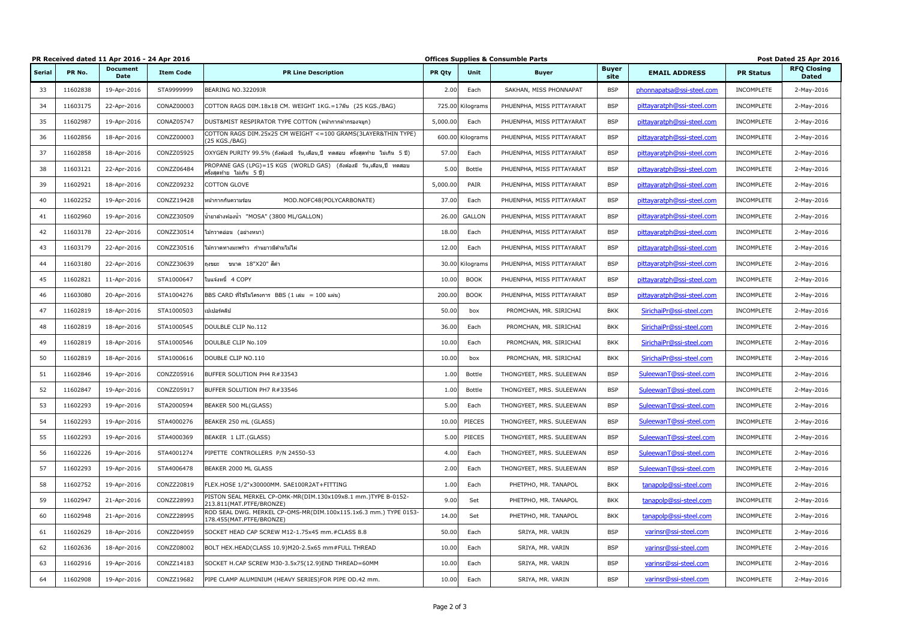|               |          | PR Received dated 11 Apr 2016 - 24 Apr 2016 |                  |                                                                                                   | <b>Offices Supplies &amp; Consumble Parts</b> |                  |                           |                      | Post Dated 25 Apr 2016     |                  |                                    |
|---------------|----------|---------------------------------------------|------------------|---------------------------------------------------------------------------------------------------|-----------------------------------------------|------------------|---------------------------|----------------------|----------------------------|------------------|------------------------------------|
| <b>Serial</b> | PR No.   | <b>Document</b><br><b>Date</b>              | <b>Item Code</b> | <b>PR Line Description</b>                                                                        | <b>PR Qty</b>                                 | Unit             | <b>Buyer</b>              | <b>Buyer</b><br>site | <b>EMAIL ADDRESS</b>       | <b>PR Status</b> | <b>RFQ Closing</b><br><b>Dated</b> |
| 33            | 11602838 | 19-Apr-2016                                 | STA9999999       | BEARING NO.32209JR                                                                                | 2.00                                          | Each             | SAKHAN, MISS PHONNAPAT    | <b>BSP</b>           | phonnapatsa@ssi-steel.com  | INCOMPLETE       | 2-May-2016                         |
| 34            | 11603175 | 22-Apr-2016                                 | CONAZ00003       | COTTON RAGS DIM.18x18 CM. WEIGHT 1KG.=17ผืน (25 KGS./BAG)                                         | 725.00                                        | Kilograms        | PHUENPHA, MISS PITTAYARAT | <b>BSP</b>           | pittayaratph@ssi-steel.com | INCOMPLETE       | 2-May-2016                         |
| 35            | 11602987 | 19-Apr-2016                                 | CONAZ05747       | DUST&MIST RESPIRATOR TYPE COTTON (หน้ากากผ้ากรองจมูก)                                             | 5,000.00                                      | Each             | PHUENPHA, MISS PITTAYARAT | <b>BSP</b>           | pittayaratph@ssi-steel.com | INCOMPLETE       | 2-May-2016                         |
| 36            | 11602856 | 18-Apr-2016                                 | CONZZ00003       | COTTON RAGS DIM.25x25 CM WEIGHT <= 100 GRAMS(3LAYER&THIN TYPE)<br>(25 KGS./BAG)                   |                                               | 600.00 Kilograms | PHUENPHA, MISS PITTAYARAT | <b>BSP</b>           | pittayaratph@ssi-steel.com | INCOMPLETE       | 2-May-2016                         |
| 37            | 11602858 | 18-Apr-2016                                 | CONZZ05925       | OXYGEN PURITY 99.5% (ถังต้องมี วัน,เดือน,ปี ทดสอบ ครั้งสุดท้าย ไม่เกิน 5 ปี)                      | 57.00                                         | Each             | PHUENPHA, MISS PITTAYARAT | <b>BSP</b>           | pittayaratph@ssi-steel.com | INCOMPLETE       | 2-May-2016                         |
| 38            | 11603121 | 22-Apr-2016                                 | CONZZ06484       | PROPANE GAS (LPG)=15 KGS (WORLD GAS) (ถังต้องมี วัน,เดือน,ปี ทดสอบ<br>ีครั้งสุดท้าย ไม่เกิน 5 ปี) | 5.00                                          | <b>Bottle</b>    | PHUENPHA, MISS PITTAYARAT | <b>BSP</b>           | pittayaratph@ssi-steel.com | INCOMPLETE       | 2-May-2016                         |
| 39            | 11602921 | 18-Apr-2016                                 | CONZZ09232       | <b>COTTON GLOVE</b>                                                                               | 5,000.00                                      | PAIR             | PHUENPHA, MISS PITTAYARAT | <b>BSP</b>           | pittayaratph@ssi-steel.com | INCOMPLETE       | 2-May-2016                         |
| 40            | 11602252 | 19-Apr-2016                                 | CONZZ19428       | MOD.NOFC48(POLYCARBONATE)<br>่ หน้ากากกันความร้อน                                                 | 37.00                                         | Each             | PHUENPHA, MISS PITTAYARAT | <b>BSP</b>           | pittayaratph@ssi-steel.com | INCOMPLETE       | 2-May-2016                         |
| 41            | 11602960 | 19-Apr-2016                                 | CONZZ30509       | น้ำยาล้างห้องน้ำ  "MOSA" (3800 ML/GALLON)                                                         | 26.00                                         | <b>GALLON</b>    | PHUENPHA, MISS PITTAYARAT | <b>BSP</b>           | pittayaratph@ssi-steel.com | INCOMPLETE       | 2-May-2016                         |
| 42            | 11603178 | 22-Apr-2016                                 | CONZZ30514       | ี่ไม้กวาดอ่อน (อย่างหนา)                                                                          | 18.00                                         | Each             | PHUENPHA, MISS PITTAYARAT | <b>BSP</b>           | pittayaratph@ssi-steel.com | INCOMPLETE       | 2-May-2016                         |
| 43            | 11603179 | 22-Apr-2016                                 | CONZZ30516       | ไม้กวาดทางมะพร้าว ก้านยาวมีด้ามไม้ไผ่                                                             | 12.00                                         | Each             | PHUENPHA, MISS PITTAYARAT | <b>BSP</b>           | pittayaratph@ssi-steel.com | INCOMPLETE       | 2-May-2016                         |
| 44            | 11603180 | 22-Apr-2016                                 | CONZZ30639       | ขนาด 18"X20" สีดำ<br>ถงขยะ                                                                        |                                               | 30.00 Kilograms  | PHUENPHA, MISS PITTAYARAT | <b>BSP</b>           | pittayaratph@ssi-steel.com | INCOMPLETE       | 2-May-2016                         |
| 45            | 11602821 | 11-Apr-2016                                 | STA1000647       | ใบแจ้งหนี้ 4 COPY                                                                                 | 10.00                                         | <b>BOOK</b>      | PHUENPHA, MISS PITTAYARAT | <b>BSP</b>           | pittayaratph@ssi-steel.com | INCOMPLETE       | 2-May-2016                         |
| 46            | 11603080 | 20-Apr-2016                                 | STA1004276       | BBS CARD ที่ใช้ในโครงการ BBS (1 เล่ม = 100 แผ่น)                                                  | 200.00                                        | <b>BOOK</b>      | PHUENPHA, MISS PITTAYARAT | <b>BSP</b>           | pittayaratph@ssi-steel.com | INCOMPLETE       | 2-May-2016                         |
| 47            | 11602819 | 18-Apr-2016                                 | STA1000503       | เปเปอร์คลิป                                                                                       | 50.00                                         | box              | PROMCHAN, MR. SIRICHAI    | <b>BKK</b>           | SirichaiPr@ssi-steel.com   | INCOMPLETE       | 2-May-2016                         |
| 48            | 11602819 | 18-Apr-2016                                 | STA1000545       | DOULBLE CLIP No.112                                                                               | 36.00                                         | Each             | PROMCHAN, MR. SIRICHAI    | <b>BKK</b>           | SirichaiPr@ssi-steel.com   | INCOMPLETE       | 2-May-2016                         |
| 49            | 11602819 | 18-Apr-2016                                 | STA1000546       | DOULBLE CLIP No.109                                                                               | 10.00                                         | Each             | PROMCHAN, MR. SIRICHAI    | <b>BKK</b>           | SirichaiPr@ssi-steel.com   | INCOMPLETE       | 2-May-2016                         |
| 50            | 11602819 | 18-Apr-2016                                 | STA1000616       | DOUBLE CLIP NO.110                                                                                | 10.00                                         | box              | PROMCHAN, MR. SIRICHAI    | <b>BKK</b>           | SirichaiPr@ssi-steel.com   | INCOMPLETE       | 2-May-2016                         |
| 51            | 11602846 | 19-Apr-2016                                 | CONZZ05916       | BUFFER SOLUTION PH4 R#33543                                                                       | 1.00                                          | <b>Bottle</b>    | THONGYEET, MRS. SULEEWAN  | <b>BSP</b>           | SuleewanT@ssi-steel.com    | INCOMPLETE       | 2-May-2016                         |
| 52            | 11602847 | 19-Apr-2016                                 | CONZZ05917       | BUFFER SOLUTION PH7 R#33546                                                                       | 1.00                                          | <b>Bottle</b>    | THONGYEET, MRS. SULEEWAN  | <b>BSP</b>           | SuleewanT@ssi-steel.com    | INCOMPLETE       | 2-May-2016                         |
| 53            | 11602293 | 19-Apr-2016                                 | STA2000594       | BEAKER 500 ML(GLASS)                                                                              | 5.00                                          | Each             | THONGYEET, MRS. SULEEWAN  | <b>BSP</b>           | SuleewanT@ssi-steel.com    | INCOMPLETE       | 2-May-2016                         |
| 54            | 11602293 | 19-Apr-2016                                 | STA4000276       | BEAKER 250 mL (GLASS)                                                                             | 10.00                                         | PIECES           | THONGYEET, MRS. SULEEWAN  | <b>BSP</b>           | SuleewanT@ssi-steel.com    | INCOMPLETE       | 2-May-2016                         |
| 55            | 11602293 | 19-Apr-2016                                 | STA4000369       | BEAKER 1 LIT.(GLASS)                                                                              | 5.00                                          | PIECES           | THONGYEET, MRS. SULEEWAN  | <b>BSP</b>           | SuleewanT@ssi-steel.com    | INCOMPLETE       | 2-May-2016                         |
| 56            | 11602226 | 19-Apr-2016                                 | STA4001274       | PIPETTE CONTROLLERS P/N 24550-53                                                                  | 4.00                                          | Each             | THONGYEET, MRS. SULEEWAN  | <b>BSP</b>           | SuleewanT@ssi-steel.com    | INCOMPLETE       | 2-May-2016                         |
| 57            | 11602293 | 19-Apr-2016                                 | STA4006478       | BEAKER 2000 ML GLASS                                                                              | 2.00                                          | Each             | THONGYEET, MRS. SULEEWAN  | <b>BSP</b>           | SuleewanT@ssi-steel.com    | INCOMPLETE       | 2-May-2016                         |
| 58            | 11602752 | 19-Apr-2016                                 | CONZZ20819       | FLEX.HOSE 1/2"x30000MM. SAE100R2AT+FITTING                                                        | 1.00                                          | Each             | PHETPHO, MR. TANAPOL      | <b>BKK</b>           | tanapolp@ssi-steel.com     | INCOMPLETE       | 2-May-2016                         |
| 59            | 11602947 | 21-Apr-2016                                 | CONZZ28993       | PISTON SEAL MERKEL CP-OMK-MR(DIM.130x109x8.1 mm.)TYPE B-0152-<br>213.811(MAT.PTFE/BRONZE)         | 9.00                                          | Set              | PHETPHO, MR. TANAPOL      | <b>BKK</b>           | tanapolp@ssi-steel.com     | INCOMPLETE       | 2-May-2016                         |
| 60            | 11602948 | 21-Apr-2016                                 | CONZZ28995       | ROD SEAL DWG. MERKEL CP-OMS-MR(DIM.100x115.1x6.3 mm.) TYPE 0153-<br>178.455(MAT.PTFE/BRONZE)      | 14.00                                         | Set              | PHETPHO, MR. TANAPOL      | <b>BKK</b>           | tanapolp@ssi-steel.com     | INCOMPLETE       | 2-May-2016                         |
| 61            | 11602629 | 18-Apr-2016                                 | CONZZ04959       | SOCKET HEAD CAP SCREW M12-1.75x45 mm.#CLASS 8.8                                                   | 50.00                                         | Each             | SRIYA, MR. VARIN          | <b>BSP</b>           | varinsr@ssi-steel.com      | INCOMPLETE       | 2-May-2016                         |
| 62            | 11602636 | 18-Apr-2016                                 | CONZZ08002       | BOLT HEX.HEAD(CLASS 10.9)M20-2.5x65 mm#FULL THREAD                                                | 10.00                                         | Each             | SRIYA, MR. VARIN          | <b>BSP</b>           | varinsr@ssi-steel.com      | INCOMPLETE       | 2-May-2016                         |
| 63            | 11602916 | 19-Apr-2016                                 | CONZZ14183       | SOCKET H.CAP SCREW M30-3.5x75(12.9)END THREAD=60MM                                                | 10.00                                         | Each             | SRIYA, MR. VARIN          | <b>BSP</b>           | varinsr@ssi-steel.com      | INCOMPLETE       | 2-May-2016                         |
| 64            | 11602908 | 19-Apr-2016                                 | CONZZ19682       | PIPE CLAMP ALUMINIUM (HEAVY SERIES)FOR PIPE OD.42 mm.                                             | 10.00                                         | Each             | SRIYA, MR. VARIN          | <b>BSP</b>           | varinsr@ssi-steel.com      | INCOMPLETE       | 2-May-2016                         |